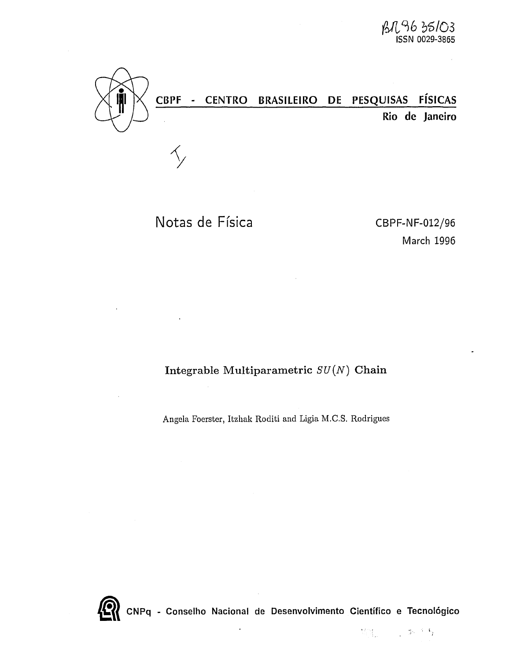

# CBPF - CENTRO BRASILEIRO DE PESQUISAS FÍSICAS

Rio de Janeiro

Notas de Física CBPF-NF-012/96

March 1996

Integrable Multiparametric *SU(N)* Chain

Angela Foerster, Itzhak Roditi and Ligia M.C.S. Rodrigues



CNPq - Conselho Nacional de Desenvolvimento Científico e Tecnológico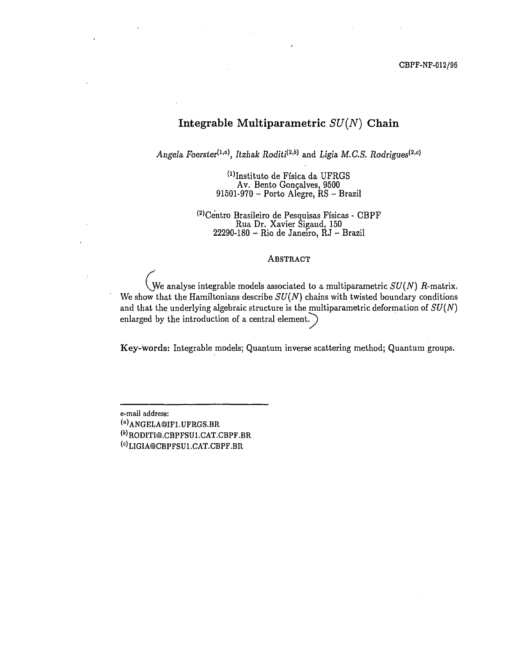## Integrable Multiparametric *SU(N)* Chain

*Angela Foerster^<sup>a</sup> \ Itzhak Roditi&<sup>b</sup> \* and *Ligia, M.C.S. Rodrigues^*

 $^{(1)}$ Instituto de Física da UFRGS Av. Bento Gonçalves, 9500 91501-970 - Porto Alegre, RS - Brazil

( 2 )Centro Brasileiro de Pesquisas Físicas - CBPF Rua Dr. Xavier Sigaud, 150 22290-180 - Rio de Janeiro, RJ - Brazil

#### ABSTRACT

We analyse integrable models associated to a multiparametric  $SU(N)$  R-matrix. We show that the Hamiltonians describe  $SU(N)$  chains with twisted boundary conditions and that the underlying algebraic structure is the multiparametric deformation of *SU(N)* enlarged by the introduction of a central element. *J*

Key-words: Integrable models; Quantum inverse scattering method; Quantum groups.

e-mail address: ( a )ANGELA@IFl.UFRGS.BR <sup>(b)</sup>RODITI@.CBPFSU1.CAT.CBPF.BR <sup>(c)</sup>LIGIA@CBPFSU1.CAT.CBPF.BR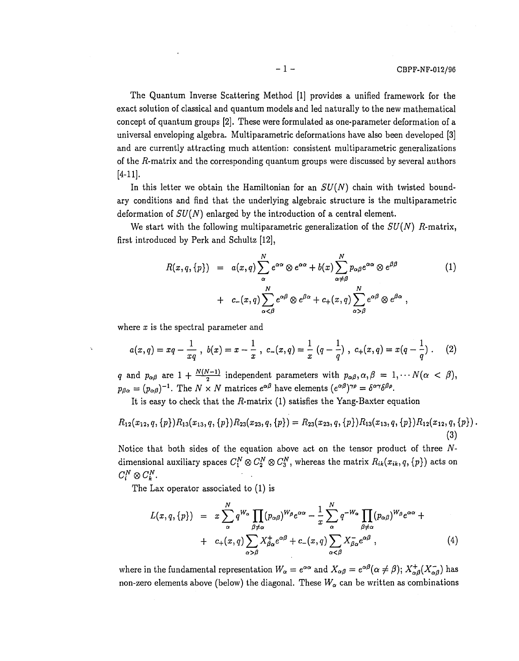The Quantum Inverse Scattering Method [1] provides a unified framework for the exact solution of classical and quantum models and led naturally to the new mathematical concept of quantum groups [2]. These were formulated as one-parameter deformation of a universal enveloping algebra. Multiparametric deformations have also been developed [3] and are currently attracting much attention: consistent multiparametric generalizations of the  $R$ -matrix and the corresponding quantum groups were discussed by several authors [4-11].

In this letter we obtain the Hamiltonian for an *SU(N)* chain with twisted boundary conditions and find that the underlying algebraic structure is the multiparametric deformation of *SU(N)* enlarged by the introduction of a central element.

We start with the following multiparametric generalization of the  $SU(N)$  R-matrix, first introduced by Perk and Schultz [12],

$$
R(x,q,\{p\}) = a(x,q) \sum_{\alpha}^{N} e^{\alpha \alpha} \otimes e^{\alpha \alpha} + b(x) \sum_{\alpha \neq \beta}^{N} p_{\alpha \beta} e^{\alpha \alpha} \otimes e^{\beta \beta} + c_{-}(x,q) \sum_{\alpha < \beta}^{N} e^{\alpha \beta} \otimes e^{\beta \alpha} + c_{+}(x,q) \sum_{\alpha > \beta}^{N} e^{\alpha \beta} \otimes e^{\beta \alpha} ,
$$
 (1)

where *x* is the spectral parameter and

$$
a(x,q) = xq - \frac{1}{xq}, \ b(x) = x - \frac{1}{x}, \ c_{-}(x,q) = \frac{1}{x} (q - \frac{1}{q}), \ c_{+}(x,q) = x(q - \frac{1}{q}). \tag{2}
$$

*q* and  $p_{\alpha\beta}$  are  $1 + \frac{N(N-1)}{2}$  independent parameters with  $p_{\alpha\beta}, \alpha, \beta = 1, \cdots N(\alpha < \beta)$ ,  $p_{\beta\alpha} = (p_{\alpha\beta})^{-1}$ . The  $N \times N$  matrices  $e^{\alpha\beta}$  have elements  $(e^{\alpha\beta})^{\gamma\rho} = \delta^{\alpha\gamma}\delta^{\beta\rho}$ .

It is easy to check that the  $R$ -matrix (1) satisfies the Yang-Baxter equation

$$
R_{12}(x_{12},q,\{p\})R_{13}(x_{13},q,\{p\})R_{23}(x_{23},q,\{p\}) = R_{23}(x_{23},q,\{p\})R_{13}(x_{13},q,\{p\})R_{12}(x_{12},q,\{p\})
$$
\n(3)

Notice that both sides of the equation above act on the tensor product of three  $N$ dimensional auxiliary spaces  $C_1^N \otimes C_2^N \otimes C_3^N$ , whereas the matrix  $R_{ik}(x_{ik}, q, \{p\})$  acts on  $C_i^N \otimes C_k^N$ .

The Lax operator associated to (1) is

$$
L(x, q, \{p\}) = x \sum_{\alpha}^{N} q^{W_{\alpha}} \prod_{\beta \neq \alpha} (p_{\alpha\beta})^{W_{\beta}} e^{\alpha\alpha} - \frac{1}{x} \sum_{\alpha}^{N} q^{-W_{\alpha}} \prod_{\beta \neq \alpha} (p_{\alpha\beta})^{W_{\beta}} e^{\alpha\alpha} + c_{+}(x, q) \sum_{\alpha > \beta} X_{\beta\alpha}^{+} e^{\alpha\beta} + c_{-}(x, q) \sum_{\alpha < \beta} X_{\beta\alpha}^{-} e^{\alpha\beta} \,, \tag{4}
$$

where in the fundamental representation  $W_\alpha = e^{\alpha\alpha}$  and  $X_{\alpha\beta} = e^{\alpha\beta} (\alpha \neq \beta);\ X_{\alpha\beta}^+(X_{\alpha\beta}^-)$ non-zero elements above (below) the diagonal. These  $W_{\alpha}$  can be written as combinations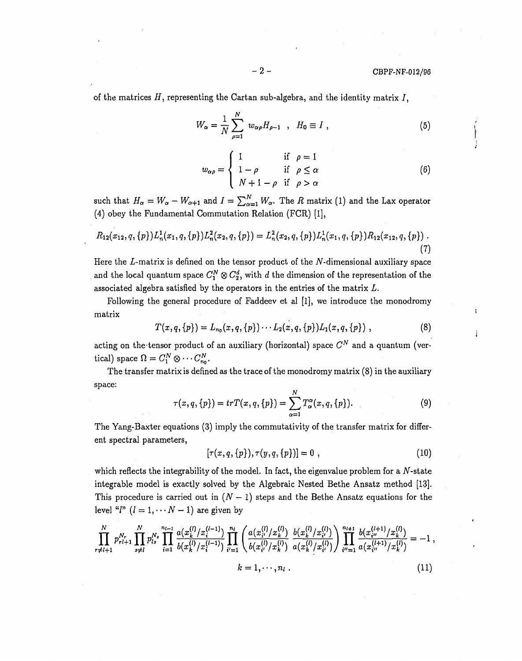#### $- 2 -$  CBPF-NF-012/96

 $\mathbf{t}$ 

i

of the matrices  $H$ , representing the Cartan sub-algebra, and the identity matrix  $I$ ,

$$
W_{\alpha} = \frac{1}{N} \sum_{\rho=1}^{N} w_{\alpha \rho} H_{\rho-1} \quad , \quad H_0 \equiv I \; , \tag{5}
$$

$$
w_{\alpha\rho} = \begin{cases} 1 & \text{if } \rho = 1 \\ 1 - \rho & \text{if } \rho \le \alpha \\ N + 1 - \rho & \text{if } \rho > \alpha \end{cases}
$$
 (6)

such that  $H_{\alpha} = W_{\alpha} - W_{\alpha+1}$  and  $I = \sum_{\alpha=1}^{N} W_{\alpha}$ . The R matrix (1) and the Lax operator (4) obey the Fundamental Commutation Relation (FCR) [1],

$$
R_{12}(x_{12},q,\{p\})L_n^1(x_1,q,\{p\})L_n^2(x_2,q,\{p\}) = L_n^2(x_2,q,\{p\})L_n^1(x_1,q,\{p\})R_{12}(x_{12},q,\{p\})\ .
$$
\n(7)

Here the  $L$ -matrix is defined on the tensor product of the  $N$ -dimensional auxiliary space and the local quantum space  $C_1^N \otimes C_2^d$ , with *d* the dimension of the representation of the associated algebra satisfied by the operators in the entries of the matrix *L.*

Following the general procedure of Faddeev et al [1], we introduce the monodromy matrix

$$
T(x,q,\{p\}) = L_{n_0}(x,q,\{p\}) \cdots L_2(x,q,\{p\}) L_1(x,q,\{p\}) \;, \tag{8}
$$

acting on the tensor product of an auxiliary (horizontal) space  $C^N$  and a quantum (vertical) space  $\Omega = C_1^N \otimes \cdots C_{n_0}^N$ .

The transfer matrix is defined as the trace of the monodromy matrix (8) in the auxiliary space:

$$
\tau(x,q,\{p\}) = trT(x,q,\{p\}) = \sum_{\alpha=1}^{N} T_{\alpha}^{\alpha}(x,q,\{p\}).
$$
 (9)

The Yang-Baxter equations (3) imply the commutativity of the transfer matrix for different spectral parameters,

$$
[\tau(x,q,\{p\}),\tau(y,q,\{p\})]=0\,\,,\tag{10}
$$

which reflects the integrability of the model. In fact, the eigenvalue problem for a  $N$ -state integrable model is exactly solved by the Algebraic Nested Bethe Ansatz method [13]. This procedure is carried out in  $(N - 1)$  steps and the Bethe Ansatz equations for the level " $l$ "  $(l = 1, \cdots N - 1)$  are given by

$$
\prod_{r \neq l+1}^{N} p_{rl+1}^{N_r} \prod_{s \neq l}^{N} p_{ls}^{N_s} \prod_{i=1}^{n_{l-1}} \frac{a(x_k^{(l)}/x_i^{(l-1)})}{b(x_k^{(l)}/x_i^{(l-1)})} \prod_{i'=1}^{n_l} \left( \frac{a(x_{i'}^{(l)}/x_k^{(l)})}{b(x_{i'}^{(l)}/x_k^{(l)})} \frac{b(x_k^{(l)}/x_{i'}^{(l)})}{a(x_k^{(l)}/x_{i'}^{(l)})} \right) \prod_{i''=1}^{n_{l+1}} \frac{b(x_{i''}^{(l+1)}/x_k^{(l)})}{a(x_{i''}^{(l+1)}/x_k^{(l)})} = -1,
$$
\n
$$
k = 1, \cdots, n_l.
$$
\n(11)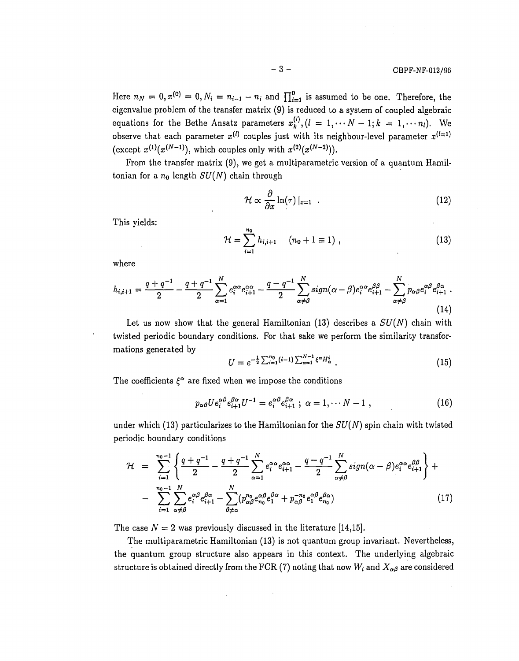Here  $n_N = 0, x^{(0)} = 0, N_i = n_{i-1} - n_i$  and  $\prod_{i=1}^{0}$  is assumed to be one. Therefore, the eigenvalue problem of the transfer matrix (9) is reduced to a system of coupled algebraic equations for the Bethe Ansatz parameters  $x_k^{(l)}$ ,  $(l = 1, \dots N-1; k = 1, \dots n_l)$ . We observe that each parameter  $x^{(l)}$  couples just with its neighbour-level parameter  $x^{(l\pm 1)}$ (except  $x^{(1)}(x^{(N-1)})$ , which couples only with  $x^{(2)}(x^{(N-2)})$ ).

From the transfer matrix (9), we get a multiparametric version of a quantum Hamiltonian for a  $n_0$  length  $SU(N)$  chain through

$$
\mathcal{H} \propto \frac{\partial}{\partial x} \ln(\tau) \left|_{x=1} \right. \tag{12}
$$

This yields:

$$
\mathcal{H} = \sum_{i=1}^{n_0} h_{i,i+1} \quad (n_0 + 1 \equiv 1) , \qquad (13)
$$

where

$$
h_{i,i+1} = \frac{q+q^{-1}}{2} - \frac{q+q^{-1}}{2} \sum_{\alpha=1}^{N} e_i^{\alpha \alpha} e_{i+1}^{\alpha \alpha} - \frac{q-q^{-1}}{2} \sum_{\alpha \neq \beta}^{N} sign(\alpha - \beta) e_i^{\alpha \alpha} e_{i+1}^{\beta \beta} - \sum_{\alpha \neq \beta}^{N} p_{\alpha \beta} e_i^{\alpha \beta} e_{i+1}^{\beta \alpha}.
$$
\n(14)

Let us now show that the general Hamiltonian (13) describes a  $SU(N)$  chain with twisted periodic boundary conditions. For that sake we perform the similarity transformations generated by

$$
U = e^{-\frac{1}{2}\sum_{i=1}^{n_0}(i-1)\sum_{\alpha=1}^{N-1}\xi^{\alpha}H_{\alpha}^{i}}.
$$
 (15)

The coefficients  $\xi^{\alpha}$  are fixed when we impose the conditions

$$
p_{\alpha\beta} U e_i^{\alpha\beta} e_{i+1}^{\beta\alpha} U^{-1} = e_i^{\alpha\beta} e_{i+1}^{\beta\alpha} ; \ \alpha = 1, \cdots N-1 , \qquad (16)
$$

under which (13) particularizes to the Hamiltonian for the *SU(N)* spin chain with twisted periodic boundary conditions

$$
\mathcal{H} = \sum_{i=1}^{n_0-1} \left\{ \frac{q+q^{-1}}{2} - \frac{q+q^{-1}}{2} \sum_{\alpha=1}^N e_i^{\alpha \alpha} e_{i+1}^{\alpha \alpha} - \frac{q-q^{-1}}{2} \sum_{\alpha \neq \beta}^N sign(\alpha - \beta) e_i^{\alpha \alpha} e_{i+1}^{\beta \beta} \right\} + \newline - \sum_{i=1}^{n_0-1} \sum_{\alpha \neq \beta}^N e_i^{\alpha \beta} e_{i+1}^{\beta \alpha} - \sum_{\beta \neq \alpha}^N (p_{\alpha \beta}^n e_{n_0}^{\alpha \beta} e_1^{\beta \alpha} + p_{\alpha \beta}^{-n_0} e_1^{\alpha \beta} e_{n_0}^{\beta \alpha}) \tag{17}
$$

The case  $N = 2$  was previously discussed in the literature [14,15].

The multiparametric Hamiltonian (13) is not quantum group invariant. Nevertheless, the quantum group structure also appears in this context. The underlying algebraic structure is obtained directly from the FCR (7) noting that now  $W_i$  and  $X_{\alpha\beta}$  are considered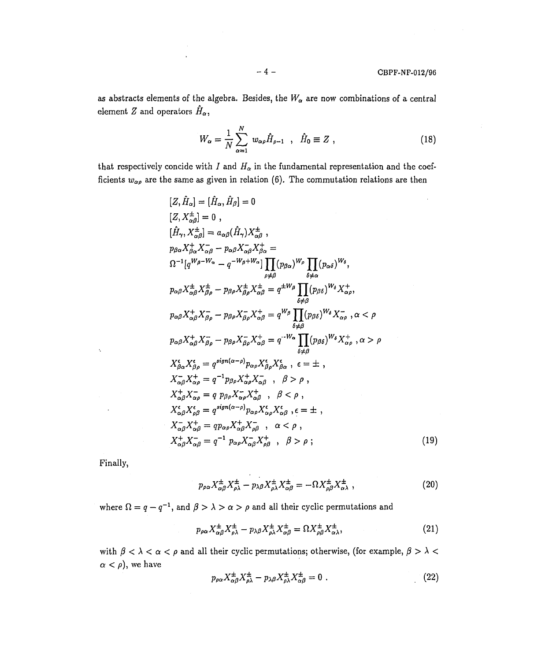÷

as abstracts elements of the algebra. Besides, the  $W_\alpha$  are now combinations of a central element Z and operators  $\hat{H}_{\alpha}$ ,

$$
W_{\alpha} = \frac{1}{N} \sum_{\alpha=1}^{N} w_{\alpha\rho} \hat{H}_{\rho-1} , \quad \hat{H}_0 \equiv Z , \qquad (18)
$$

that respectively concide with  $I$  and  $H_{\alpha}$  in the fundamental representation and the coefficients  $w_{\alpha\rho}$  are the same as given in relation (6). The commutation relations are then

$$
[Z, \hat{H}_{\alpha}] = [\hat{H}_{\alpha}, \hat{H}_{\beta}] = 0
$$
  
\n
$$
[\hat{H}_{\gamma}, X_{\alpha\beta}^{\pm}] = 0, \qquad [ \hat{H}_{\gamma}, X_{\alpha\beta}^{\pm}] = a_{\alpha\beta} (\hat{H}_{\gamma}) X_{\alpha\beta}^{\pm} ,
$$
  
\n
$$
p_{\beta\alpha} X_{\beta\alpha}^{\pm} X_{\alpha\beta} - p_{\alpha\beta} X_{\alpha\beta}^{\pm} X_{\beta\alpha}^{\pm} =
$$
  
\n
$$
\Omega^{-1} [q^{W_{\beta} - W_{\alpha}} - q^{-W_{\beta} + W_{\alpha}}] \prod_{\rho \neq \beta} (p_{\beta\alpha})^{W_{\rho}} \prod_{\delta \neq \alpha} (p_{\alpha\delta})^{W_{\delta}},
$$
  
\n
$$
p_{\alpha\beta} X_{\alpha\beta}^{\pm} X_{\beta\rho}^{\pm} - p_{\beta\rho} X_{\beta\rho}^{\pm} X_{\alpha\beta}^{\pm} = q^{\pm W_{\beta}} \prod_{\delta \neq \beta} (p_{\beta\delta})^{W_{\delta}} X_{\alpha\rho}^{+},
$$
  
\n
$$
p_{\alpha\beta} X_{\alpha\beta}^{\pm} X_{\beta\rho}^{\mp} - p_{\beta\rho} X_{\beta\rho}^{\pm} X_{\alpha\beta}^{\pm} = q^{W_{\beta}} \prod_{\delta \neq \beta} (p_{\beta\delta})^{W_{\delta}} X_{\alpha\rho}^{-}, \alpha < \rho
$$
  
\n
$$
p_{\alpha\beta} X_{\alpha\beta}^{\pm} X_{\beta\rho}^{\mp} - p_{\beta\rho} X_{\beta\rho} X_{\alpha\beta}^{\pm} = q^{-W_{\alpha}} \prod_{\delta \neq \beta} (p_{\beta\delta})^{W_{\delta}} X_{\alpha\rho}^{+}, \alpha > \rho
$$
  
\n
$$
X_{\beta\alpha}^{\epsilon} X_{\beta\beta}^{\epsilon} = q^{sign(\alpha - \rho)} p_{\alpha\rho} X_{\beta\rho}^{\epsilon} X_{\beta\alpha}^{\epsilon} , \epsilon = \pm ,
$$
  
\n
$$
X_{\alpha\beta}^{\epsilon} X_{\alpha\rho}^{\epsilon} = q p_{\beta\rho} X_{\alpha\rho}
$$

Finally,

 $\tilde{\mathbf{y}}$ 

$$
p_{\rho\alpha}X^{\pm}_{\alpha\beta}X^{\pm}_{\rho\lambda} - p_{\lambda\beta}X^{\pm}_{\rho\lambda}X^{\pm}_{\alpha\beta} = -\Omega X^{\pm}_{\rho\beta}X^{\pm}_{\alpha\lambda} \tag{20}
$$

where  $\Omega = q - q^{-1}$ , and  $\beta > \lambda > \alpha > \rho$  and all their cyclic permutations and

$$
p_{\rho\alpha}X^{\pm}_{\alpha\beta}X^{\pm}_{\rho\lambda} - p_{\lambda\beta}X^{\pm}_{\rho\lambda}X^{\pm}_{\alpha\beta} = \Omega X^{\pm}_{\rho\beta}X^{\pm}_{\alpha\lambda},\tag{21}
$$

with  $\beta < \lambda < \alpha < \rho$  and all their cyclic permutations; otherwise, (for example,  $\beta > \lambda <$  $\alpha < \rho$ ), we have

$$
p_{\rho\alpha}X^{\pm}_{\alpha\beta}X^{\pm}_{\rho\lambda} - p_{\lambda\beta}X^{\pm}_{\rho\lambda}X^{\pm}_{\alpha\beta} = 0.
$$
 (22)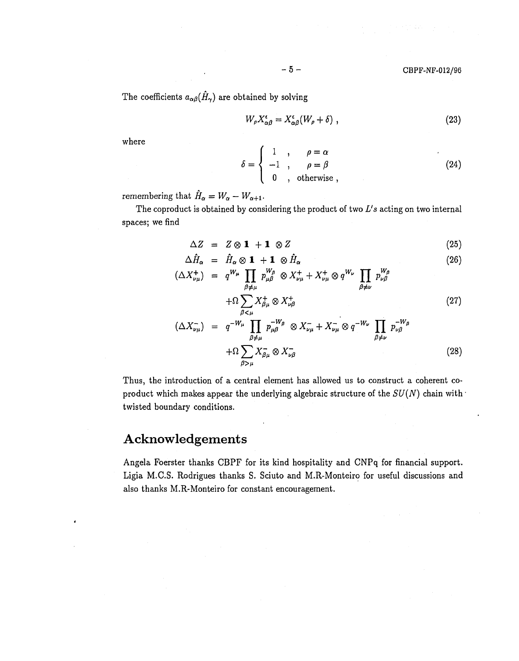The coefficients  $a_{\alpha\beta}(\hat{H}_{\gamma})$  are obtained by solving

$$
W_{\rho} X^{\epsilon}_{\alpha\beta} = X^{\epsilon}_{\alpha\beta}(W_{\rho} + \delta) \tag{23}
$$

where

$$
\delta = \begin{cases}\n1 & , & \rho = \alpha \\
-1 & , & \rho = \beta \\
0 & , & \text{otherwise}\n\end{cases}
$$
\n(24)

remembering that  $\hat{H}_{\alpha} = W_{\alpha} - W_{\alpha+1}$ .

s obtained by considering the product  $space; we find$ 

$$
\Delta Z = Z \otimes \mathbf{1} + \mathbf{1} \otimes Z \tag{25}
$$

$$
\Delta \hat{H}_{\alpha} = \hat{H}_{\alpha} \otimes \mathbf{1} + \mathbf{1} \otimes \hat{H}_{\alpha}
$$
\n
$$
H_{\alpha} = \sum_{\substack{W \subset \mathbf{H} \\ W_{\alpha} = \mathbf{H} \cup \mathbf{H} \\ W_{\alpha} = \mathbf{H} \cup \mathbf{H} \cup \mathbf{H} \\ W_{\alpha} = \mathbf{H} \cup \mathbf{H} \cup \mathbf{H} \cup \mathbf{H} \tag{26}
$$

$$
(\Delta X_{\nu\mu}^+) = q^{W_{\mu}} \prod_{\beta \neq \mu} p_{\mu\beta}^{W_{\beta}} \otimes X_{\nu\mu}^+ + X_{\nu\mu}^+ \otimes q^{W_{\nu}} \prod_{\beta \neq \nu} p_{\nu\beta}^{W_{\beta}}
$$
  
+
$$
\Omega \sum X_{\beta\mu}^+ \otimes X_{\nu\beta}^+ \qquad (27)
$$

$$
(\Delta X_{\nu\mu}^-) = q^{-W_{\mu}} \prod_{\beta \neq \mu} p_{\mu\beta}^{-W_{\beta}} \otimes X_{\nu\mu}^- + X_{\nu\mu}^- \otimes q^{-W_{\nu}} \prod_{\beta \neq \nu} p_{\nu\beta}^{-W_{\beta}}
$$
  
+
$$
\Omega \sum_{\beta > \mu} X_{\beta\mu}^- \otimes X_{\nu\beta}^- \qquad (28)
$$

Thus, the introduction of a central element has allowed us to construct a coherent coproduct which makes appear the underlying algebraic structure of the  $SU(N)$  chain with  $\cdot$ twisted boundary conditions.

# Acknowledgements

Angela Foerster thanks CBPF for its kind hospitality and CNPq for financial support. Ligia M.C.S. Rodrigues thanks S. Sciuto and M.R-Monteiro for useful discussions and also thanks M.R-Monteiro for constant encouragement.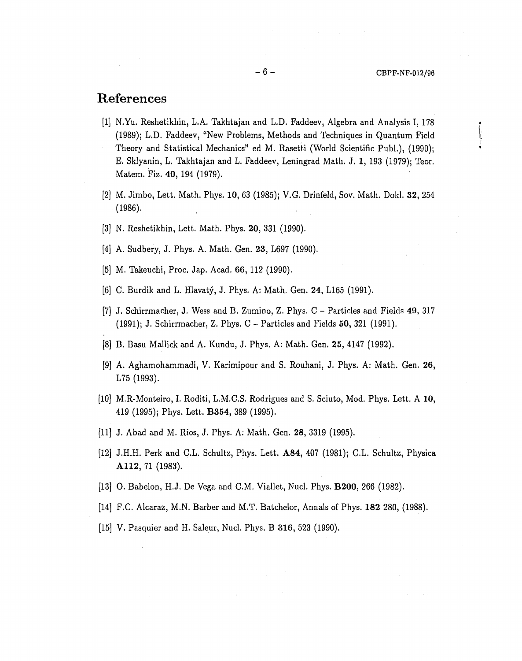## References

- [1] N.Yu. Reshetikhin, L.A. Takhtajan and L.D, Faddeev. Algebra and Analysis I, 178 (1989); L.D. Faddeev, "New Problems, Methods and Techniques in Quantum Field Theory and Statistical Mechanics" ed M. Rasetti (World Scientific Publ.), (1990); E. Sklyanin, L. Takhtajan and L. Faddeev, Leningrad Math. J. 1, 193 (1979); Teor. Matem. Fiz. **40,** 194 (1979).
- [2] M. Jimbo, Lett. Math. Phys. **10,** 63 (1985); V.G. Drinfeld, Sov. Math. Dokl. **32,** 254 (1986).
- [3] N. Reshetikhin, Lett. Math. Phys. **20,** 331 (1990).
- [4] A. Sudbery, J. Phys. A. Math. Gen. **23,** L697 (1990).
- [5] M. Takeuchi, Proc. Jap. Acad. **66,** 112 (1990).
- [6] C. Burdik and L. Hlavaty, J. Phys. A: Math. Gen. **24,** L165 (1991).
- [7] J. Schirrmacher, J. Wess and B. Zumino, Z. Phys. C Particles and Fields 49, 317 (1991); J. Schirrmacher, Z. Phys. C - Particles and Fields **50,** 321 (1991).
- [8] B. Basu Mallick and A. Kundu, J. Phys. A: Math. Gen. **25,** 4147 (1992).
- [9] A. Aghamohammadi, V. Karimipour and S. Rouhani, J. Phys. A: Math. Gen. **26,** L75 (1993).
- [10] M.R-Monteiro, I. Roditi, L.M.C.S. Rodrigues and S. Sciuto, Mod. Phys. Lett. A **10,** 419 (1995); Phys. Lett. **B354,** 389 (1995).
- [11] J. Abad and M. Rios, J. Phys. A: Math. Gen. **28,** 3319 (1995).
- [12] J.H.H. Perk and C.L. Schultz, Phys. Lett. **A84,** 407 (1981); C.L. Schultz, Physica **A112,** 71 (1983).
- [13] O. Babelon, H.J. De Vega and CM . Viallet, Nucl. Phys. **B200,** 266 (1982).
- [14] F.C. Alcaraz, M.N. Barber and M.T. Batchelor, Annals of Phys. **182** 280, (1988).
- [15] V. Pasquier and H. Saleur, Nucl. Phys. B **316,** 523 (1990).